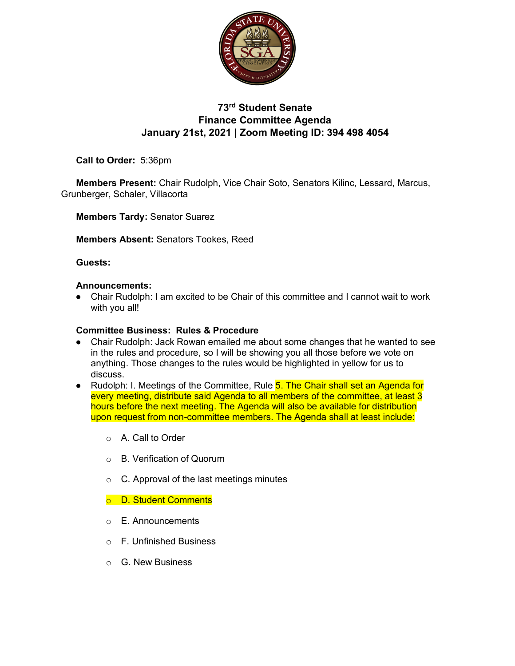

# **73rd Student Senate Finance Committee Agenda January 21st, 2021 | Zoom Meeting ID: 394 498 4054**

**Call to Order:** 5:36pm

**Members Present:** Chair Rudolph, Vice Chair Soto, Senators Kilinc, Lessard, Marcus, Grunberger, Schaler, Villacorta

**Members Tardy:** Senator Suarez

**Members Absent:** Senators Tookes, Reed

## **Guests:**

### **Announcements:**

● Chair Rudolph: I am excited to be Chair of this committee and I cannot wait to work with you all!

### **Committee Business: Rules & Procedure**

- Chair Rudolph: Jack Rowan emailed me about some changes that he wanted to see in the rules and procedure, so I will be showing you all those before we vote on anything. Those changes to the rules would be highlighted in yellow for us to discuss.
- Rudolph: I. Meetings of the Committee, Rule 5. The Chair shall set an Agenda for every meeting, distribute said Agenda to all members of the committee, at least 3 hours before the next meeting. The Agenda will also be available for distribution upon request from non-committee members. The Agenda shall at least include:
	- o A. Call to Order
	- o B. Verification of Quorum
	- $\circ$  C. Approval of the last meetings minutes

## o D. Student Comments

- o E. Announcements
- o F. Unfinished Business
- o G. New Business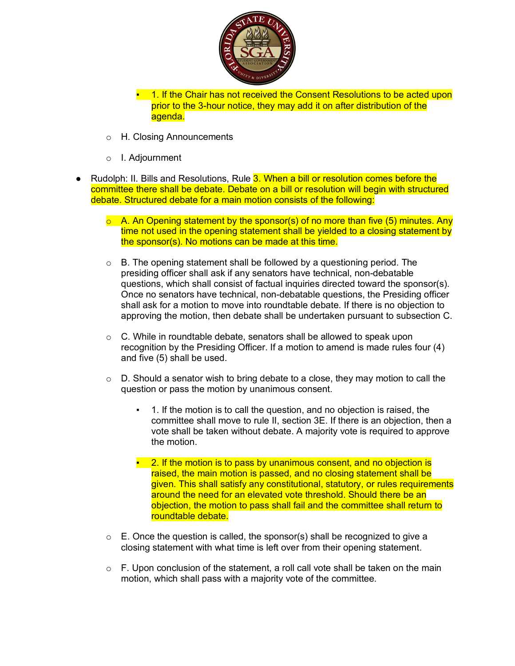

**.** 1. If the Chair has not received the Consent Resolutions to be acted upon prior to the 3-hour notice, they may add it on after distribution of the agenda.

- o H. Closing Announcements
- o I. Adjournment
- Rudolph: II. Bills and Resolutions, Rule 3. When a bill or resolution comes before the committee there shall be debate. Debate on a bill or resolution will begin with structured debate. Structured debate for a main motion consists of the following:
	- $\circ$  A. An Opening statement by the sponsor(s) of no more than five (5) minutes. Any time not used in the opening statement shall be yielded to a closing statement by the sponsor(s). No motions can be made at this time.
	- $\circ$  B. The opening statement shall be followed by a questioning period. The presiding officer shall ask if any senators have technical, non-debatable questions, which shall consist of factual inquiries directed toward the sponsor(s). Once no senators have technical, non-debatable questions, the Presiding officer shall ask for a motion to move into roundtable debate. If there is no objection to approving the motion, then debate shall be undertaken pursuant to subsection C.
	- o C. While in roundtable debate, senators shall be allowed to speak upon recognition by the Presiding Officer. If a motion to amend is made rules four (4) and five (5) shall be used.
	- $\circ$  D. Should a senator wish to bring debate to a close, they may motion to call the question or pass the motion by unanimous consent.
		- 1. If the motion is to call the question, and no objection is raised, the committee shall move to rule II, section 3E. If there is an objection, then a vote shall be taken without debate. A majority vote is required to approve the motion.
		- **2. If the motion is to pass by unanimous consent, and no objection is** raised, the main motion is passed, and no closing statement shall be given. This shall satisfy any constitutional, statutory, or rules requirements around the need for an elevated vote threshold. Should there be an objection, the motion to pass shall fail and the committee shall return to roundtable debate.
	- $\circ$  E. Once the question is called, the sponsor(s) shall be recognized to give a closing statement with what time is left over from their opening statement.
	- $\circ$  F. Upon conclusion of the statement, a roll call vote shall be taken on the main motion, which shall pass with a majority vote of the committee.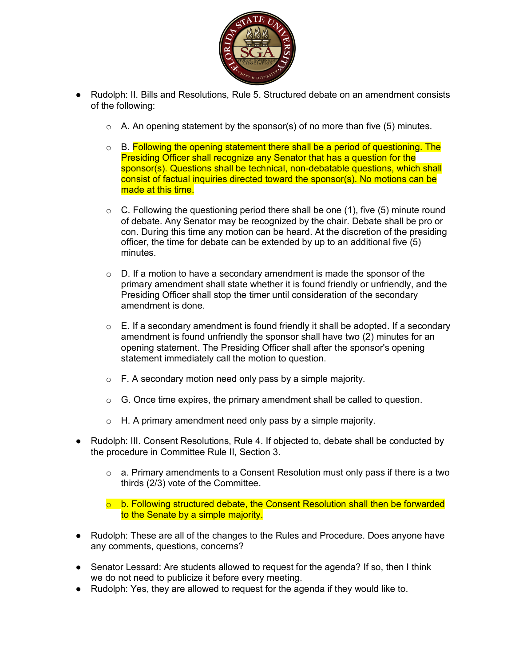

- Rudolph: II. Bills and Resolutions, Rule 5. Structured debate on an amendment consists of the following:
	- $\circ$  A. An opening statement by the sponsor(s) of no more than five (5) minutes.
	- $\circ$  B. Following the opening statement there shall be a period of questioning. The Presiding Officer shall recognize any Senator that has a question for the sponsor(s). Questions shall be technical, non-debatable questions, which shall consist of factual inquiries directed toward the sponsor(s). No motions can be made at this time.
	- $\circ$  C. Following the questioning period there shall be one (1), five (5) minute round of debate. Any Senator may be recognized by the chair. Debate shall be pro or con. During this time any motion can be heard. At the discretion of the presiding officer, the time for debate can be extended by up to an additional five (5) minutes.
	- $\circ$  D. If a motion to have a secondary amendment is made the sponsor of the primary amendment shall state whether it is found friendly or unfriendly, and the Presiding Officer shall stop the timer until consideration of the secondary amendment is done.
	- $\circ$  E. If a secondary amendment is found friendly it shall be adopted. If a secondary amendment is found unfriendly the sponsor shall have two (2) minutes for an opening statement. The Presiding Officer shall after the sponsor's opening statement immediately call the motion to question.
	- o F. A secondary motion need only pass by a simple majority.
	- $\circ$  G. Once time expires, the primary amendment shall be called to question.
	- $\circ$  H. A primary amendment need only pass by a simple majority.
- Rudolph: III. Consent Resolutions, Rule 4. If objected to, debate shall be conducted by the procedure in Committee Rule II, Section 3.
	- $\circ$  a. Primary amendments to a Consent Resolution must only pass if there is a two thirds (2/3) vote of the Committee.

 $\circ$  b. Following structured debate, the Consent Resolution shall then be forwarded to the Senate by a simple majority.

- Rudolph: These are all of the changes to the Rules and Procedure. Does anyone have any comments, questions, concerns?
- Senator Lessard: Are students allowed to request for the agenda? If so, then I think we do not need to publicize it before every meeting.
- Rudolph: Yes, they are allowed to request for the agenda if they would like to.